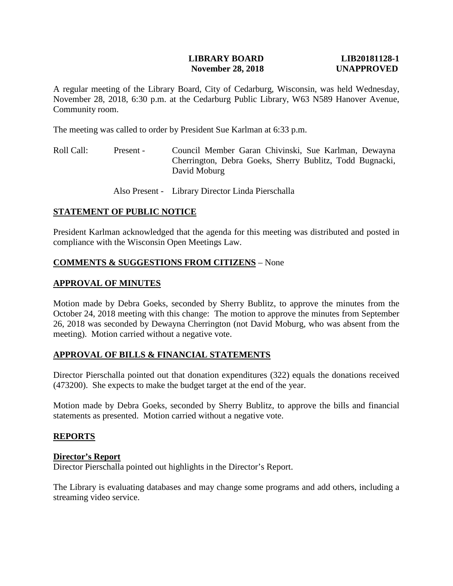## **LIBRARY BOARD LIB20181128-1 November 28, 2018 UNAPPROVED**

A regular meeting of the Library Board, City of Cedarburg, Wisconsin, was held Wednesday, November 28, 2018, 6:30 p.m. at the Cedarburg Public Library, W63 N589 Hanover Avenue, Community room.

The meeting was called to order by President Sue Karlman at 6:33 p.m.

Roll Call: Present - Council Member Garan Chivinski, Sue Karlman, Dewayna Cherrington, Debra Goeks, Sherry Bublitz, Todd Bugnacki, David Moburg

Also Present - Library Director Linda Pierschalla

# **STATEMENT OF PUBLIC NOTICE**

President Karlman acknowledged that the agenda for this meeting was distributed and posted in compliance with the Wisconsin Open Meetings Law.

# **COMMENTS & SUGGESTIONS FROM CITIZENS** – None

## **APPROVAL OF MINUTES**

Motion made by Debra Goeks, seconded by Sherry Bublitz, to approve the minutes from the October 24, 2018 meeting with this change: The motion to approve the minutes from September 26, 2018 was seconded by Dewayna Cherrington (not David Moburg, who was absent from the meeting). Motion carried without a negative vote.

# **APPROVAL OF BILLS & FINANCIAL STATEMENTS**

Director Pierschalla pointed out that donation expenditures (322) equals the donations received (473200). She expects to make the budget target at the end of the year.

Motion made by Debra Goeks, seconded by Sherry Bublitz, to approve the bills and financial statements as presented. Motion carried without a negative vote.

### **REPORTS**

### **Director's Report**

Director Pierschalla pointed out highlights in the Director's Report.

The Library is evaluating databases and may change some programs and add others, including a streaming video service.